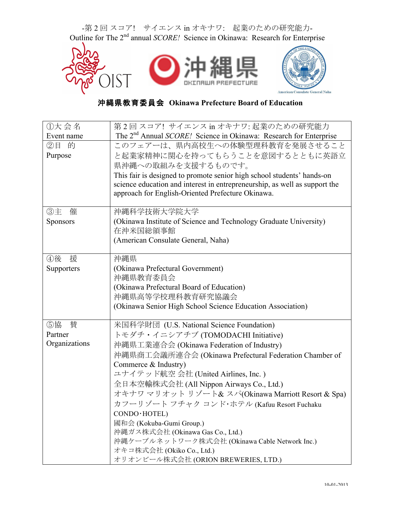

## 沖縄県教育委員会 **Okinawa Prefecture Board of Education**

| ①大会名            | 第2回スコア! サイエンス in オキナワ: 起業のための研究能力                                             |  |  |  |  |
|-----------------|-------------------------------------------------------------------------------|--|--|--|--|
| Event name      | The 2 <sup>nd</sup> Annual SCORE! Science in Okinawa: Research for Enterprise |  |  |  |  |
| ②目 的            | このフェアーは、県内高校生への体験型理科教育を発展させること                                                |  |  |  |  |
| Purpose         | と起業家精神に関心を持ってもらうことを意図するとともに英語立                                                |  |  |  |  |
|                 | 県沖縄への取組みを支援するものです。                                                            |  |  |  |  |
|                 | This fair is designed to promote senior high school students' hands-on        |  |  |  |  |
|                 | science education and interest in entrepreneurship, as well as support the    |  |  |  |  |
|                 | approach for English-Oriented Prefecture Okinawa.                             |  |  |  |  |
|                 |                                                                               |  |  |  |  |
| ③主<br>催         | 沖縄科学技術大学院大学                                                                   |  |  |  |  |
| <b>Sponsors</b> | (Okinawa Institute of Science and Technology Graduate University)             |  |  |  |  |
|                 | 在沖米国総領事館                                                                      |  |  |  |  |
|                 | (American Consulate General, Naha)                                            |  |  |  |  |
|                 |                                                                               |  |  |  |  |
| ④後<br>援         | 沖縄県                                                                           |  |  |  |  |
| Supporters      | (Okinawa Prefectural Government)                                              |  |  |  |  |
|                 | 沖縄県教育委員会                                                                      |  |  |  |  |
|                 | (Okinawa Prefectural Board of Education)                                      |  |  |  |  |
|                 | 沖縄県高等学校理科教育研究協議会                                                              |  |  |  |  |
|                 | (Okinawa Senior High School Science Education Association)                    |  |  |  |  |
| ⑤協<br>賛         | 米国科学財団 (U.S. National Science Foundation)                                     |  |  |  |  |
| Partner         | トモダチ・イニシアチブ (TOMODACHI Initiative)                                            |  |  |  |  |
| Organizations   | 沖縄県工業連合会 (Okinawa Federation of Industry)                                     |  |  |  |  |
|                 | 沖縄県商工会議所連合会 (Okinawa Prefectural Federation Chamber of                        |  |  |  |  |
|                 | Commerce & Industry)                                                          |  |  |  |  |
|                 | ユナイテッド航空 会社 (United Airlines, Inc.)                                           |  |  |  |  |
|                 | 全日本空輸株式会社 (All Nippon Airways Co., Ltd.)                                      |  |  |  |  |
|                 | オキナワ マリオット リゾート& スパ(Okinawa Marriott Resort & Spa)                            |  |  |  |  |
|                 | カフーリゾート フチャク コンド・ホテル (Kafuu Resort Fuchaku                                    |  |  |  |  |
|                 | CONDO · HOTEL)                                                                |  |  |  |  |
|                 | 國和会 (Kokuba-Gumi Group.)                                                      |  |  |  |  |
|                 | 沖縄ガス株式会社 (Okinawa Gas Co., Ltd.)                                              |  |  |  |  |
|                 | 沖縄ケーブルネットワーク株式会社 (Okinawa Cable Network Inc.)                                 |  |  |  |  |
|                 | オキコ株式会社 (Okiko Co., Ltd.)                                                     |  |  |  |  |
|                 | オリオンビール株式会社 (ORION BREWERIES, LTD.)                                           |  |  |  |  |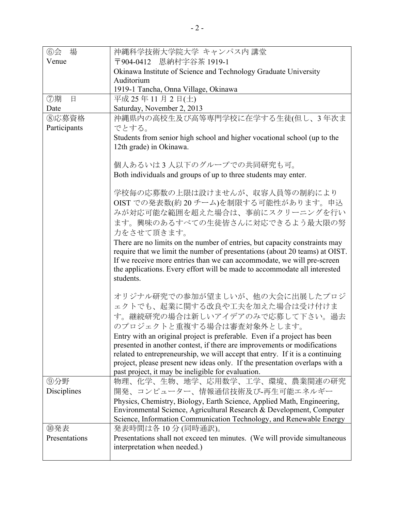| $\circledcirc$ 会<br>場 | 沖縄科学技術大学院大学 キャンパス内 講堂                                                                                   |  |  |  |  |
|-----------------------|---------------------------------------------------------------------------------------------------------|--|--|--|--|
| Venue                 | 〒904-0412 恩納村字谷茶 1919-1                                                                                 |  |  |  |  |
|                       | Okinawa Institute of Science and Technology Graduate University                                         |  |  |  |  |
|                       | Auditorium                                                                                              |  |  |  |  |
|                       | 1919-1 Tancha, Onna Village, Okinawa                                                                    |  |  |  |  |
| ⑦期<br>日               | 平成 25年11月2日(土)                                                                                          |  |  |  |  |
| Date                  | Saturday, November 2, 2013                                                                              |  |  |  |  |
| ⑧応募資格                 | 沖縄県内の高校生及び高等専門学校に在学する生徒(但し、3年次ま                                                                         |  |  |  |  |
| Participants          | でとする。                                                                                                   |  |  |  |  |
|                       | Students from senior high school and higher vocational school (up to the<br>12th grade) in Okinawa.     |  |  |  |  |
|                       | 個人あるいは3人以下のグループでの共同研究も可。                                                                                |  |  |  |  |
|                       | Both individuals and groups of up to three students may enter.                                          |  |  |  |  |
|                       |                                                                                                         |  |  |  |  |
|                       | 学校毎の応募数の上限は設けませんが、収容人員等の制約により                                                                           |  |  |  |  |
|                       | OIST での発表数(約20チーム)を制限する可能性があります。申込                                                                      |  |  |  |  |
|                       | みが対応可能な範囲を超えた場合は、事前にスクリーニングを行い                                                                          |  |  |  |  |
|                       | ます。興味のあるすべての生徒皆さんに対応できるよう最大限の努                                                                          |  |  |  |  |
|                       | 力をさせて頂きます。                                                                                              |  |  |  |  |
|                       | There are no limits on the number of entries, but capacity constraints may                              |  |  |  |  |
|                       | require that we limit the number of presentations (about 20 teams) at OIST.                             |  |  |  |  |
|                       | If we receive more entries than we can accommodate, we will pre-screen                                  |  |  |  |  |
|                       | the applications. Every effort will be made to accommodate all interested<br>students.                  |  |  |  |  |
|                       |                                                                                                         |  |  |  |  |
|                       | オリジナル研究での参加が望ましいが、他の大会に出展したプロジ                                                                          |  |  |  |  |
|                       | ェクトでも、起業に関する改良や工夫を加えた場合は受け付けま                                                                           |  |  |  |  |
|                       | す。継続研究の場合は新しいアイデアのみで応募して下さい。過去                                                                          |  |  |  |  |
|                       | のプロジェクトと重複する場合は審査対象外とします。                                                                               |  |  |  |  |
|                       | Entry with an original project is preferable. Even if a project has been                                |  |  |  |  |
|                       | presented in another contest, if there are improvements or modifications                                |  |  |  |  |
|                       | related to entrepreneurship, we will accept that entry. If it is a continuing                           |  |  |  |  |
|                       | project, please present new ideas only. If the presentation overlaps with a                             |  |  |  |  |
|                       | past project, it may be ineligible for evaluation.                                                      |  |  |  |  |
| ⑨分野                   | 物理、化学、生物、地学、応用数学、工学、環境、農業関連の研究                                                                          |  |  |  |  |
| Disciplines           | 開発、コンピューター、情報通信技術及び-再生可能エネルギー<br>Physics, Chemistry, Biology, Earth Science, Applied Math, Engineering, |  |  |  |  |
|                       | Environmental Science, Agricultural Research & Development, Computer                                    |  |  |  |  |
|                       | Science, Information Communication Technology, and Renewable Energy                                     |  |  |  |  |
| ⑩発表                   | 発表時間は各 10分 (同時通訳)。                                                                                      |  |  |  |  |
| Presentations         | Presentations shall not exceed ten minutes. (We will provide simultaneous                               |  |  |  |  |
|                       | interpretation when needed.)                                                                            |  |  |  |  |
|                       |                                                                                                         |  |  |  |  |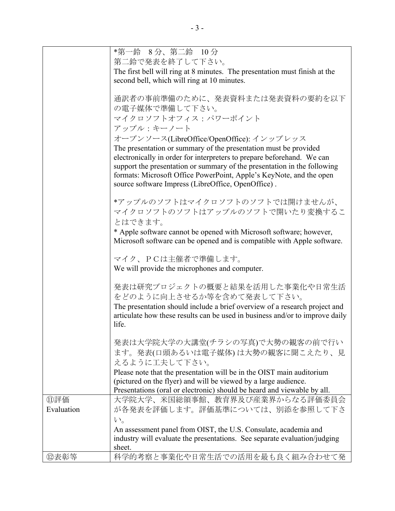|                                                                     | *第一鈴 8分、第二鈴 10分                                                                                                                              |  |  |  |  |
|---------------------------------------------------------------------|----------------------------------------------------------------------------------------------------------------------------------------------|--|--|--|--|
| 第二鈴で発表を終了して下さい。                                                     |                                                                                                                                              |  |  |  |  |
|                                                                     | The first bell will ring at 8 minutes. The presentation must finish at the                                                                   |  |  |  |  |
|                                                                     | second bell, which will ring at 10 minutes.                                                                                                  |  |  |  |  |
|                                                                     |                                                                                                                                              |  |  |  |  |
|                                                                     | 通訳者の事前準備のために、発表資料または発表資料の要約を以下                                                                                                               |  |  |  |  |
|                                                                     | の電子媒体で準備して下さい。                                                                                                                               |  |  |  |  |
|                                                                     | マイクロソフトオフィス:パワーポイント                                                                                                                          |  |  |  |  |
|                                                                     | アップル:キーノート                                                                                                                                   |  |  |  |  |
|                                                                     | オープンソース(LibreOffice/OpenOffice): インップレッス                                                                                                     |  |  |  |  |
|                                                                     | The presentation or summary of the presentation must be provided                                                                             |  |  |  |  |
|                                                                     | electronically in order for interpreters to prepare beforehand. We can                                                                       |  |  |  |  |
|                                                                     | support the presentation or summary of the presentation in the following                                                                     |  |  |  |  |
|                                                                     | formats: Microsoft Office PowerPoint, Apple's KeyNote, and the open                                                                          |  |  |  |  |
|                                                                     | source software Impress (LibreOffice, OpenOffice).                                                                                           |  |  |  |  |
|                                                                     |                                                                                                                                              |  |  |  |  |
|                                                                     | *アップルのソフトはマイクロソフトのソフトでは開けませんが、                                                                                                               |  |  |  |  |
|                                                                     | マイクロソフトのソフトはアップルのソフトで開いたり変換するこ                                                                                                               |  |  |  |  |
| とはできます。                                                             |                                                                                                                                              |  |  |  |  |
| * Apple software cannot be opened with Microsoft software; however, |                                                                                                                                              |  |  |  |  |
|                                                                     | Microsoft software can be opened and is compatible with Apple software.                                                                      |  |  |  |  |
|                                                                     |                                                                                                                                              |  |  |  |  |
|                                                                     | マイク、PCは主催者で準備します。                                                                                                                            |  |  |  |  |
|                                                                     | We will provide the microphones and computer.                                                                                                |  |  |  |  |
|                                                                     |                                                                                                                                              |  |  |  |  |
|                                                                     | 発表は研究プロジェクトの概要と結果を活用した事業化や日常生活                                                                                                               |  |  |  |  |
|                                                                     | をどのように向上させるか等を含めて発表して下さい。                                                                                                                    |  |  |  |  |
|                                                                     | The presentation should include a brief overview of a research project and                                                                   |  |  |  |  |
|                                                                     | articulate how these results can be used in business and/or to improve daily<br>life.                                                        |  |  |  |  |
|                                                                     |                                                                                                                                              |  |  |  |  |
|                                                                     | 発表は大学院大学の大講堂(チラシの写真)で大勢の観客の前で行い                                                                                                              |  |  |  |  |
|                                                                     | ます。発表(口頭あるいは電子媒体)は大勢の観客に聞こえたり、見                                                                                                              |  |  |  |  |
|                                                                     | えるように工夫して下さい。                                                                                                                                |  |  |  |  |
|                                                                     |                                                                                                                                              |  |  |  |  |
|                                                                     | Please note that the presentation will be in the OIST main auditorium<br>(pictured on the flyer) and will be viewed by a large audience.     |  |  |  |  |
|                                                                     | Presentations (oral or electronic) should be heard and viewable by all.                                                                      |  |  |  |  |
| ⑪評価                                                                 | 大学院大学、米国総領事館、教育界及び産業界からなる評価委員会                                                                                                               |  |  |  |  |
| Evaluation                                                          | が各発表を評価します。評価基準については、別添を参照して下さ                                                                                                               |  |  |  |  |
|                                                                     |                                                                                                                                              |  |  |  |  |
|                                                                     | $V_{0}$                                                                                                                                      |  |  |  |  |
|                                                                     | An assessment panel from OIST, the U.S. Consulate, academia and<br>industry will evaluate the presentations. See separate evaluation/judging |  |  |  |  |
|                                                                     | sheet.                                                                                                                                       |  |  |  |  |
| 12表彰等                                                               | 科学的考察と事業化や日常生活での活用を最も良く組み合わせて発                                                                                                               |  |  |  |  |
|                                                                     |                                                                                                                                              |  |  |  |  |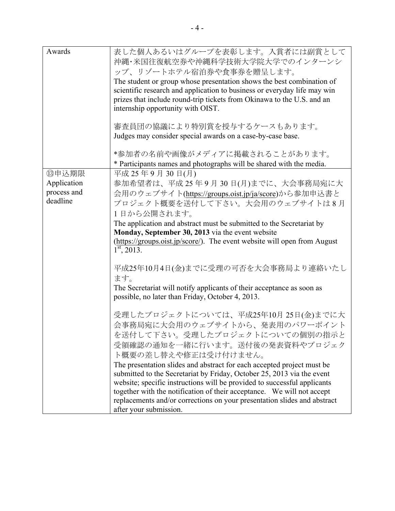| Awards                                          | 表した個人あるいはグループを表彰します。入賞者には副賞として<br>沖縄・米国往復航空券や沖縄科学技術大学院大学でのインターンシ<br>ップ、リゾートホテル宿泊券や食事券を贈呈します。<br>The student or group whose presentation shows the best combination of<br>scientific research and application to business or everyday life may win<br>prizes that include round-trip tickets from Okinawa to the U.S. and an<br>internship opportunity with OIST.<br>審査員団の協議により特別賞を授与するケースもあります。<br>Judges may consider special awards on a case-by-case base.                                                                                          |
|-------------------------------------------------|--------------------------------------------------------------------------------------------------------------------------------------------------------------------------------------------------------------------------------------------------------------------------------------------------------------------------------------------------------------------------------------------------------------------------------------------------------------------------------------------------------------------------------------------------------|
|                                                 | *参加者の名前や画像がメディアに掲載されることがあります。<br>* Participants names and photographs will be shared with the media.                                                                                                                                                                                                                                                                                                                                                                                                                                                   |
| ⑬申込期限<br>Application<br>process and<br>deadline | 平成 25年9月30日(月)<br>参加希望者は、平成25年9月30日(月)までに、大会事務局宛に大<br>会用のウェブサイト(https://groups.oist.jp/ja/score)から参加申込書と<br>プロジェクト概要を送付して下さい。大会用のウェブサイトは8月<br>1日から公開されます。<br>The application and abstract must be submitted to the Secretariat by<br>Monday, September 30, 2013 via the event website<br>(https://groups.oist.jp/score/). The event website will open from August<br>$1st$ , 2013.                                                                                                                                                                     |
|                                                 | 平成25年10月4日(金)までに受理の可否を大会事務局より連絡いたし<br>ます。<br>The Secretariat will notify applicants of their acceptance as soon as<br>possible, no later than Friday, October 4, 2013.                                                                                                                                                                                                                                                                                                                                                                                 |
|                                                 | 受理したプロジェクトについては、平成25年10月25日(金)までに大<br>会事務局宛に大会用のウェブサイトから、発表用のパワーポイント<br>を送付して下さい。受理したプロジェクトについての個別の指示と<br>受領確認の通知を一緒に行います。送付後の発表資料やプロジェク<br>ト概要の差し替えや修正は受け付けません。<br>The presentation slides and abstract for each accepted project must be<br>submitted to the Secretariat by Friday, October 25, 2013 via the event<br>website; specific instructions will be provided to successful applicants<br>together with the notification of their acceptance. We will not accept<br>replacements and/or corrections on your presentation slides and abstract |
|                                                 | after your submission.                                                                                                                                                                                                                                                                                                                                                                                                                                                                                                                                 |